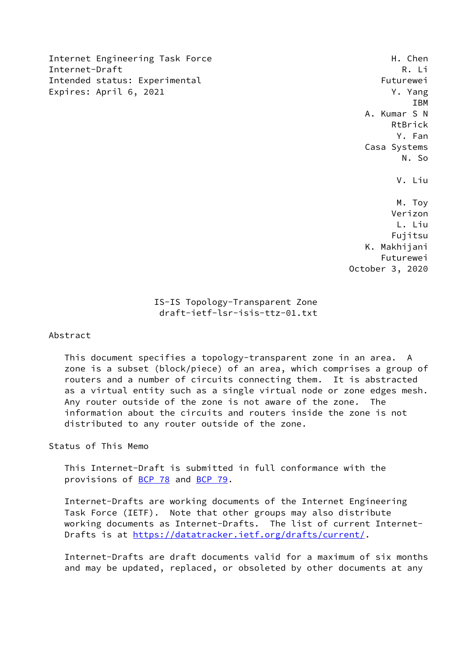Internet Engineering Task Force H. Chen Internet-Draft R. Li Intended status: Experimental Futurewei Expires: April 6, 2021 7. The state of the Second State of the Second State of the Second State of the Second State of the Second State of the Second State of the Second State of the Second State of the Second State of the

 IBM A. Kumar S N RtBrick Y. Fan Casa Systems N. So V. Liu M. Toy Verizon

 L. Liu Fujitsu K. Makhijani Futurewei October 3, 2020

# IS-IS Topology-Transparent Zone draft-ietf-lsr-isis-ttz-01.txt

## Abstract

 This document specifies a topology-transparent zone in an area. A zone is a subset (block/piece) of an area, which comprises a group of routers and a number of circuits connecting them. It is abstracted as a virtual entity such as a single virtual node or zone edges mesh. Any router outside of the zone is not aware of the zone. The information about the circuits and routers inside the zone is not distributed to any router outside of the zone.

Status of This Memo

 This Internet-Draft is submitted in full conformance with the provisions of [BCP 78](https://datatracker.ietf.org/doc/pdf/bcp78) and [BCP 79](https://datatracker.ietf.org/doc/pdf/bcp79).

 Internet-Drafts are working documents of the Internet Engineering Task Force (IETF). Note that other groups may also distribute working documents as Internet-Drafts. The list of current Internet Drafts is at<https://datatracker.ietf.org/drafts/current/>.

 Internet-Drafts are draft documents valid for a maximum of six months and may be updated, replaced, or obsoleted by other documents at any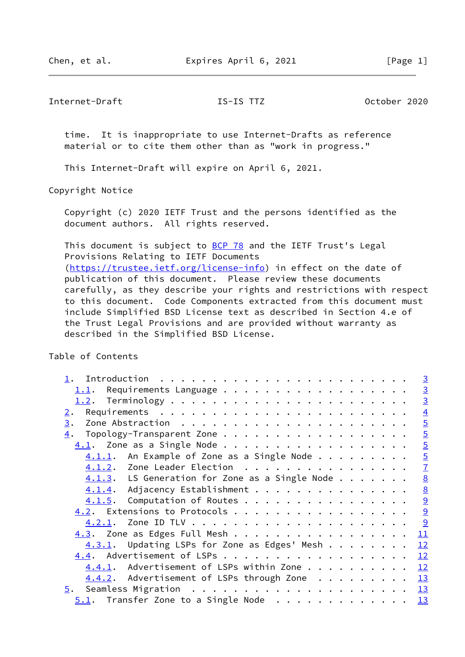Internet-Draft IS-IS TTZ October 2020

 time. It is inappropriate to use Internet-Drafts as reference material or to cite them other than as "work in progress."

This Internet-Draft will expire on April 6, 2021.

Copyright Notice

 Copyright (c) 2020 IETF Trust and the persons identified as the document authors. All rights reserved.

This document is subject to [BCP 78](https://datatracker.ietf.org/doc/pdf/bcp78) and the IETF Trust's Legal Provisions Relating to IETF Documents [\(https://trustee.ietf.org/license-info](https://trustee.ietf.org/license-info)) in effect on the date of publication of this document. Please review these documents carefully, as they describe your rights and restrictions with respect to this document. Code Components extracted from this document must include Simplified BSD License text as described in Section 4.e of the Trust Legal Provisions and are provided without warranty as described in the Simplified BSD License.

Table of Contents

|                                                   |  |  |  |  |  | $\overline{3}$  |
|---------------------------------------------------|--|--|--|--|--|-----------------|
| $1.1$ . Requirements Language                     |  |  |  |  |  | $\overline{3}$  |
|                                                   |  |  |  |  |  | $\overline{3}$  |
| 2.                                                |  |  |  |  |  | $\overline{4}$  |
| 3.                                                |  |  |  |  |  |                 |
| 4.                                                |  |  |  |  |  | $rac{5}{5}$     |
|                                                   |  |  |  |  |  | $\overline{5}$  |
| An Example of Zone as a Single Node<br>4.1.1.     |  |  |  |  |  | $\overline{5}$  |
| $\underline{4.1.2}$ . Zone Leader Election        |  |  |  |  |  | $\mathbf{Z}$    |
| $4.1.3$ . LS Generation for Zone as a Single Node |  |  |  |  |  | $\underline{8}$ |
| 4.1.4. Adjacency Establishment                    |  |  |  |  |  | $\underline{8}$ |
| $4.1.5$ . Computation of Routes                   |  |  |  |  |  | 9               |
| $\underline{4.2}$ . Extensions to Protocols 9     |  |  |  |  |  |                 |
| <u>4.2.1</u> .                                    |  |  |  |  |  | $\overline{9}$  |
| $4.3.$ Zone as Edges Full Mesh                    |  |  |  |  |  | 11              |
| $4.3.1$ . Updating LSPs for Zone as Edges' Mesh   |  |  |  |  |  | 12              |
| $4.4$ . Advertisement of LSPs                     |  |  |  |  |  | 12              |
| $4.4.1$ . Advertisement of LSPs within Zone       |  |  |  |  |  | 12              |
| $4.4.2$ . Advertisement of LSPs through Zone      |  |  |  |  |  | 13              |
|                                                   |  |  |  |  |  | $\frac{13}{2}$  |
| $5.1$ . Transfer Zone to a Single Node 13         |  |  |  |  |  |                 |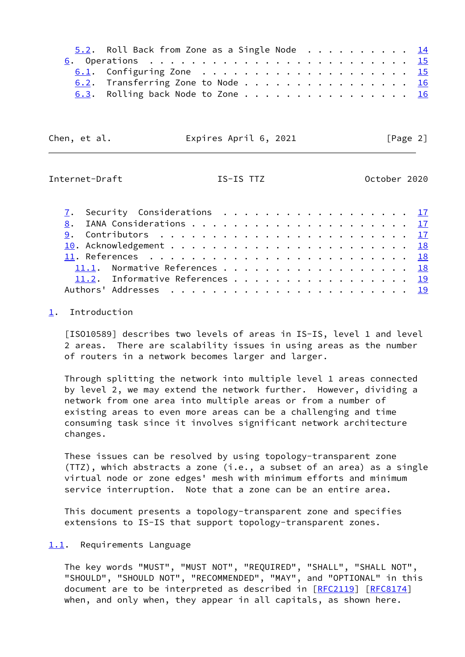|  |  |  |  |  |  |  |  |  |  | $5.2$ . Roll Back from Zone as a Single Node 14<br>$6.2$ . Transferring Zone to Node 16<br>6.3. Rolling back Node to Zone 16 |
|--|--|--|--|--|--|--|--|--|--|------------------------------------------------------------------------------------------------------------------------------|

| Chen, et al. | Expires April 6, 2021 | [Page 2] |
|--------------|-----------------------|----------|
|--------------|-----------------------|----------|

<span id="page-2-1"></span>Internet-Draft IS-IS TTZ October 2020

|  | 7. Security Considerations 17   |  |  |  |  |  |  |  |  |  |  |  |  |  |
|--|---------------------------------|--|--|--|--|--|--|--|--|--|--|--|--|--|
|  |                                 |  |  |  |  |  |  |  |  |  |  |  |  |  |
|  |                                 |  |  |  |  |  |  |  |  |  |  |  |  |  |
|  |                                 |  |  |  |  |  |  |  |  |  |  |  |  |  |
|  |                                 |  |  |  |  |  |  |  |  |  |  |  |  |  |
|  | 11.1. Normative References 18   |  |  |  |  |  |  |  |  |  |  |  |  |  |
|  | 11.2. Informative References 19 |  |  |  |  |  |  |  |  |  |  |  |  |  |
|  |                                 |  |  |  |  |  |  |  |  |  |  |  |  |  |

## <span id="page-2-0"></span>[1](#page-2-0). Introduction

 [ISO10589] describes two levels of areas in IS-IS, level 1 and level 2 areas. There are scalability issues in using areas as the number of routers in a network becomes larger and larger.

 Through splitting the network into multiple level 1 areas connected by level 2, we may extend the network further. However, dividing a network from one area into multiple areas or from a number of existing areas to even more areas can be a challenging and time consuming task since it involves significant network architecture changes.

 These issues can be resolved by using topology-transparent zone (TTZ), which abstracts a zone (i.e., a subset of an area) as a single virtual node or zone edges' mesh with minimum efforts and minimum service interruption. Note that a zone can be an entire area.

 This document presents a topology-transparent zone and specifies extensions to IS-IS that support topology-transparent zones.

<span id="page-2-2"></span>[1.1](#page-2-2). Requirements Language

 The key words "MUST", "MUST NOT", "REQUIRED", "SHALL", "SHALL NOT", "SHOULD", "SHOULD NOT", "RECOMMENDED", "MAY", and "OPTIONAL" in this document are to be interpreted as described in [\[RFC2119](https://datatracker.ietf.org/doc/pdf/rfc2119)] [\[RFC8174](https://datatracker.ietf.org/doc/pdf/rfc8174)] when, and only when, they appear in all capitals, as shown here.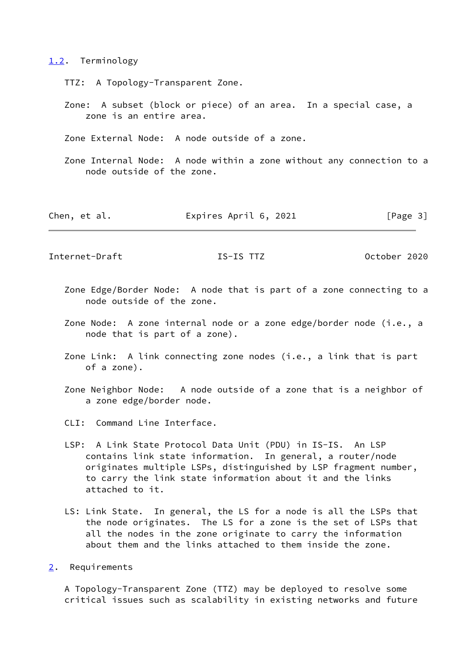### <span id="page-3-0"></span>[1.2](#page-3-0). Terminology

- TTZ: A Topology-Transparent Zone.
- Zone: A subset (block or piece) of an area. In a special case, a zone is an entire area.
- Zone External Node: A node outside of a zone.
- Zone Internal Node: A node within a zone without any connection to a node outside of the zone.

Chen, et al. **Expires April 6, 2021** [Page 3]

<span id="page-3-2"></span>Internet-Draft IS-IS TTZ October 2020

- Zone Edge/Border Node: A node that is part of a zone connecting to a node outside of the zone.
- Zone Node: A zone internal node or a zone edge/border node (i.e., a node that is part of a zone).
- Zone Link: A link connecting zone nodes (i.e., a link that is part of a zone).
- Zone Neighbor Node: A node outside of a zone that is a neighbor of a zone edge/border node.
- CLI: Command Line Interface.
- LSP: A Link State Protocol Data Unit (PDU) in IS-IS. An LSP contains link state information. In general, a router/node originates multiple LSPs, distinguished by LSP fragment number, to carry the link state information about it and the links attached to it.
- LS: Link State. In general, the LS for a node is all the LSPs that the node originates. The LS for a zone is the set of LSPs that all the nodes in the zone originate to carry the information about them and the links attached to them inside the zone.

<span id="page-3-1"></span>[2](#page-3-1). Requirements

 A Topology-Transparent Zone (TTZ) may be deployed to resolve some critical issues such as scalability in existing networks and future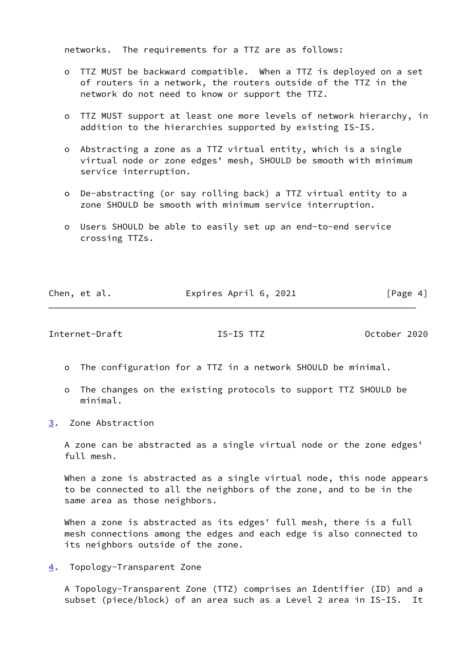networks. The requirements for a TTZ are as follows:

- o TTZ MUST be backward compatible. When a TTZ is deployed on a set of routers in a network, the routers outside of the TTZ in the network do not need to know or support the TTZ.
- o TTZ MUST support at least one more levels of network hierarchy, in addition to the hierarchies supported by existing IS-IS.
- o Abstracting a zone as a TTZ virtual entity, which is a single virtual node or zone edges' mesh, SHOULD be smooth with minimum service interruption.
- o De-abstracting (or say rolling back) a TTZ virtual entity to a zone SHOULD be smooth with minimum service interruption.
- o Users SHOULD be able to easily set up an end-to-end service crossing TTZs.

| Chen, et al. | Expires April 6, 2021 | [Page 4] |
|--------------|-----------------------|----------|
|              |                       |          |

<span id="page-4-1"></span>Internet-Draft IS-IS TTZ October 2020

- o The configuration for a TTZ in a network SHOULD be minimal.
- o The changes on the existing protocols to support TTZ SHOULD be minimal.
- <span id="page-4-0"></span>[3](#page-4-0). Zone Abstraction

 A zone can be abstracted as a single virtual node or the zone edges' full mesh.

When a zone is abstracted as a single virtual node, this node appears to be connected to all the neighbors of the zone, and to be in the same area as those neighbors.

 When a zone is abstracted as its edges' full mesh, there is a full mesh connections among the edges and each edge is also connected to its neighbors outside of the zone.

<span id="page-4-2"></span>[4](#page-4-2). Topology-Transparent Zone

 A Topology-Transparent Zone (TTZ) comprises an Identifier (ID) and a subset (piece/block) of an area such as a Level 2 area in IS-IS. It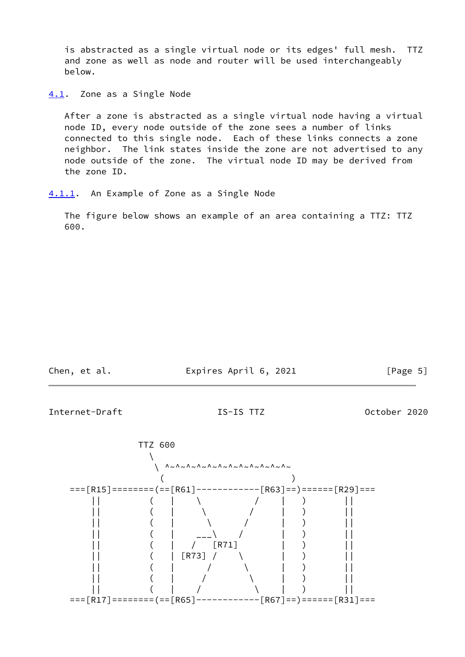is abstracted as a single virtual node or its edges' full mesh. TTZ and zone as well as node and router will be used interchangeably below.

<span id="page-5-0"></span>[4.1](#page-5-0). Zone as a Single Node

 After a zone is abstracted as a single virtual node having a virtual node ID, every node outside of the zone sees a number of links connected to this single node. Each of these links connects a zone neighbor. The link states inside the zone are not advertised to any node outside of the zone. The virtual node ID may be derived from the zone ID.

<span id="page-5-1"></span>[4.1.1](#page-5-1). An Example of Zone as a Single Node

 The figure below shows an example of an area containing a TTZ: TTZ 600.

Chen, et al. **Expires April 6, 2021** [Page 5]

Internet-Draft IS-IS TTZ October 2020

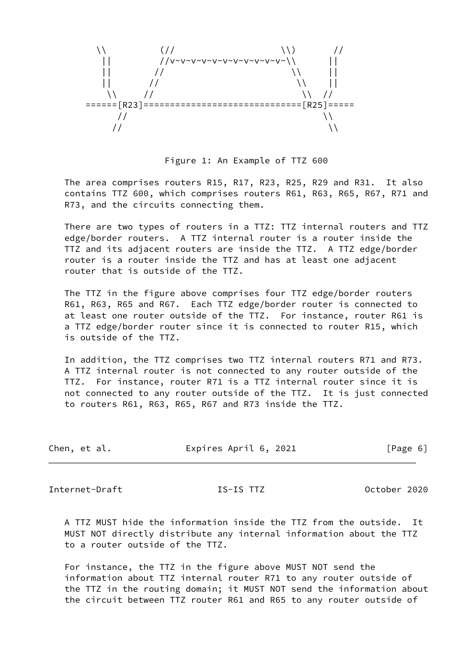

Figure 1: An Example of TTZ 600

 The area comprises routers R15, R17, R23, R25, R29 and R31. It also contains TTZ 600, which comprises routers R61, R63, R65, R67, R71 and R73, and the circuits connecting them.

 There are two types of routers in a TTZ: TTZ internal routers and TTZ edge/border routers. A TTZ internal router is a router inside the TTZ and its adjacent routers are inside the TTZ. A TTZ edge/border router is a router inside the TTZ and has at least one adjacent router that is outside of the TTZ.

 The TTZ in the figure above comprises four TTZ edge/border routers R61, R63, R65 and R67. Each TTZ edge/border router is connected to at least one router outside of the TTZ. For instance, router R61 is a TTZ edge/border router since it is connected to router R15, which is outside of the TTZ.

 In addition, the TTZ comprises two TTZ internal routers R71 and R73. A TTZ internal router is not connected to any router outside of the TTZ. For instance, router R71 is a TTZ internal router since it is not connected to any router outside of the TTZ. It is just connected to routers R61, R63, R65, R67 and R73 inside the TTZ.

| Chen, et al. | Expires April 6, 2021 | [Page 6] |
|--------------|-----------------------|----------|
|              |                       |          |

<span id="page-6-0"></span>Internet-Draft IS-IS TTZ October 2020

 A TTZ MUST hide the information inside the TTZ from the outside. It MUST NOT directly distribute any internal information about the TTZ to a router outside of the TTZ.

 For instance, the TTZ in the figure above MUST NOT send the information about TTZ internal router R71 to any router outside of the TTZ in the routing domain; it MUST NOT send the information about the circuit between TTZ router R61 and R65 to any router outside of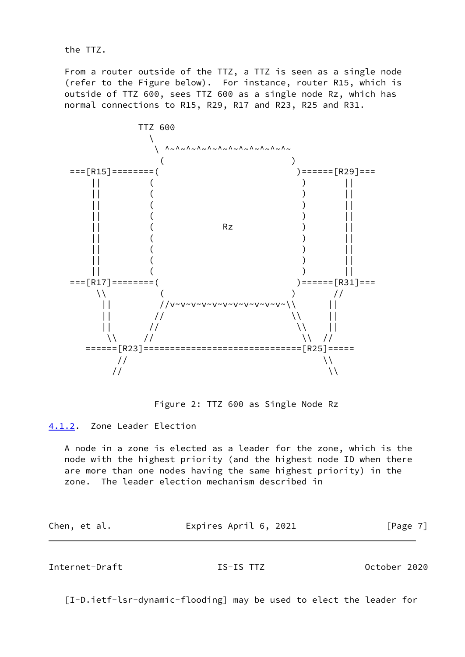the TTZ.

 From a router outside of the TTZ, a TTZ is seen as a single node (refer to the Figure below). For instance, router R15, which is outside of TTZ 600, sees TTZ 600 as a single node Rz, which has normal connections to R15, R29, R17 and R23, R25 and R31.



Figure 2: TTZ 600 as Single Node Rz

<span id="page-7-0"></span>[4.1.2](#page-7-0). Zone Leader Election

 A node in a zone is elected as a leader for the zone, which is the node with the highest priority (and the highest node ID when there are more than one nodes having the same highest priority) in the zone. The leader election mechanism described in

| Chen, et al. | Expires April 6, 2021 | [Page 7] |
|--------------|-----------------------|----------|
|              |                       |          |

<span id="page-7-1"></span>Internet-Draft IS-IS TTZ October 2020

[I-D.ietf-lsr-dynamic-flooding] may be used to elect the leader for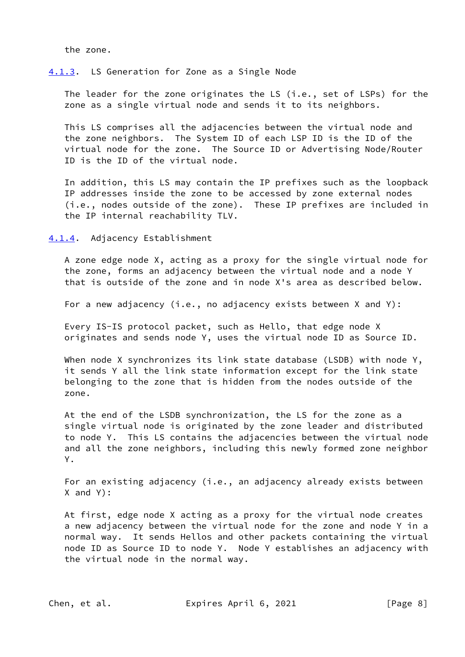the zone.

## <span id="page-8-0"></span>[4.1.3](#page-8-0). LS Generation for Zone as a Single Node

The leader for the zone originates the LS (i.e., set of LSPs) for the zone as a single virtual node and sends it to its neighbors.

 This LS comprises all the adjacencies between the virtual node and the zone neighbors. The System ID of each LSP ID is the ID of the virtual node for the zone. The Source ID or Advertising Node/Router ID is the ID of the virtual node.

 In addition, this LS may contain the IP prefixes such as the loopback IP addresses inside the zone to be accessed by zone external nodes (i.e., nodes outside of the zone). These IP prefixes are included in the IP internal reachability TLV.

<span id="page-8-1"></span>[4.1.4](#page-8-1). Adjacency Establishment

 A zone edge node X, acting as a proxy for the single virtual node for the zone, forms an adjacency between the virtual node and a node Y that is outside of the zone and in node X's area as described below.

For a new adjacency (i.e., no adjacency exists between X and Y):

 Every IS-IS protocol packet, such as Hello, that edge node X originates and sends node Y, uses the virtual node ID as Source ID.

When node X synchronizes its link state database (LSDB) with node Y, it sends Y all the link state information except for the link state belonging to the zone that is hidden from the nodes outside of the zone.

 At the end of the LSDB synchronization, the LS for the zone as a single virtual node is originated by the zone leader and distributed to node Y. This LS contains the adjacencies between the virtual node and all the zone neighbors, including this newly formed zone neighbor Y.

 For an existing adjacency (i.e., an adjacency already exists between X and Y):

 At first, edge node X acting as a proxy for the virtual node creates a new adjacency between the virtual node for the zone and node Y in a normal way. It sends Hellos and other packets containing the virtual node ID as Source ID to node Y. Node Y establishes an adjacency with the virtual node in the normal way.

Chen, et al. **Expires April 6, 2021** [Page 8]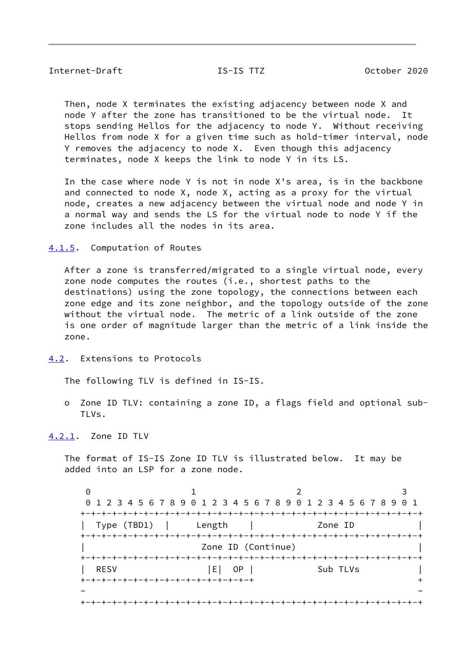<span id="page-9-1"></span> Then, node X terminates the existing adjacency between node X and node Y after the zone has transitioned to be the virtual node. It stops sending Hellos for the adjacency to node Y. Without receiving Hellos from node X for a given time such as hold-timer interval, node Y removes the adjacency to node X. Even though this adjacency terminates, node X keeps the link to node Y in its LS.

 In the case where node Y is not in node X's area, is in the backbone and connected to node X, node X, acting as a proxy for the virtual node, creates a new adjacency between the virtual node and node Y in a normal way and sends the LS for the virtual node to node Y if the zone includes all the nodes in its area.

<span id="page-9-0"></span>[4.1.5](#page-9-0). Computation of Routes

 After a zone is transferred/migrated to a single virtual node, every zone node computes the routes (i.e., shortest paths to the destinations) using the zone topology, the connections between each zone edge and its zone neighbor, and the topology outside of the zone without the virtual node. The metric of a link outside of the zone is one order of magnitude larger than the metric of a link inside the zone.

<span id="page-9-2"></span>[4.2](#page-9-2). Extensions to Protocols

The following TLV is defined in IS-IS.

 o Zone ID TLV: containing a zone ID, a flags field and optional sub- TLVs.

<span id="page-9-3"></span>[4.2.1](#page-9-3). Zone ID TLV

 The format of IS-IS Zone ID TLV is illustrated below. It may be added into an LSP for a zone node.

0 1 2 3 0 1 2 3 4 5 6 7 8 9 0 1 2 3 4 5 6 7 8 9 0 1 2 3 4 5 6 7 8 9 0 1 +-+-+-+-+-+-+-+-+-+-+-+-+-+-+-+-+-+-+-+-+-+-+-+-+-+-+-+-+-+-+-+-+ | Type (TBD1) | Length | Zone ID | +-+-+-+-+-+-+-+-+-+-+-+-+-+-+-+-+-+-+-+-+-+-+-+-+-+-+-+-+-+-+-+-+ Zone ID (Continue) +-+-+-+-+-+-+-+-+-+-+-+-+-+-+-+-+-+-+-+-+-+-+-+-+-+-+-+-+-+-+-+-+ RESV |E| OP | Sub TLVs | +-+-+-+-+-+-+-+-+-+-+-+-+-+-+-+-+ + ~ ~ +-+-+-+-+-+-+-+-+-+-+-+-+-+-+-+-+-+-+-+-+-+-+-+-+-+-+-+-+-+-+-+-+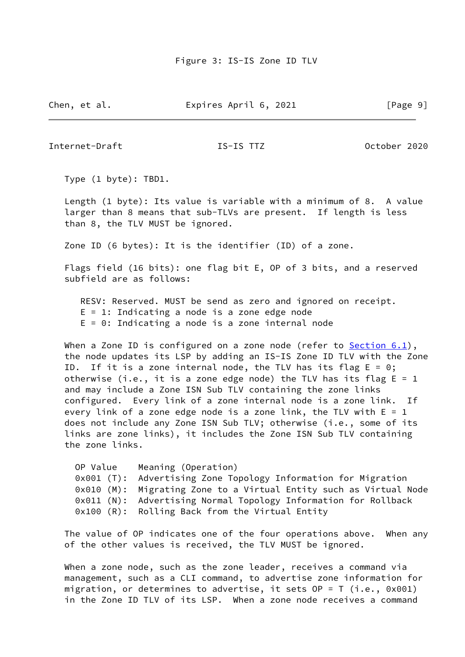Chen, et al. **Expires April 6, 2021** [Page 9]

Internet-Draft IS-IS TTZ October 2020

Type (1 byte): TBD1.

 Length (1 byte): Its value is variable with a minimum of 8. A value larger than 8 means that sub-TLVs are present. If length is less than 8, the TLV MUST be ignored.

Zone ID (6 bytes): It is the identifier (ID) of a zone.

 Flags field (16 bits): one flag bit E, OP of 3 bits, and a reserved subfield are as follows:

 RESV: Reserved. MUST be send as zero and ignored on receipt.  $E = 1$ : Indicating a node is a zone edge node  $E = 0$ : Indicating a node is a zone internal node

When a Zone ID is configured on a zone node (refer to  $Section 6.1$ ), the node updates its LSP by adding an IS-IS Zone ID TLV with the Zone ID. If it is a zone internal node, the TLV has its flag  $E = 0$ ; otherwise (i.e., it is a zone edge node) the TLV has its flag  $E = 1$  and may include a Zone ISN Sub TLV containing the zone links configured. Every link of a zone internal node is a zone link. If every link of a zone edge node is a zone link, the TLV with  $E = 1$ does not include any Zone ISN Sub TLV; otherwise (i.e., some of its links are zone links), it includes the Zone ISN Sub TLV containing the zone links.

| OP Value | Meaning (Operation)                                                |
|----------|--------------------------------------------------------------------|
|          | 0x001 (T): Advertising Zone Topology Information for Migration     |
|          | 0x010 (M): Migrating Zone to a Virtual Entity such as Virtual Node |
|          | 0x011 (N): Advertising Normal Topology Information for Rollback    |
|          | 0x100 (R): Rolling Back from the Virtual Entity                    |

 The value of OP indicates one of the four operations above. When any of the other values is received, the TLV MUST be ignored.

When a zone node, such as the zone leader, receives a command via management, such as a CLI command, to advertise zone information for migration, or determines to advertise, it sets OP = T (i.e., 0x001) in the Zone ID TLV of its LSP. When a zone node receives a command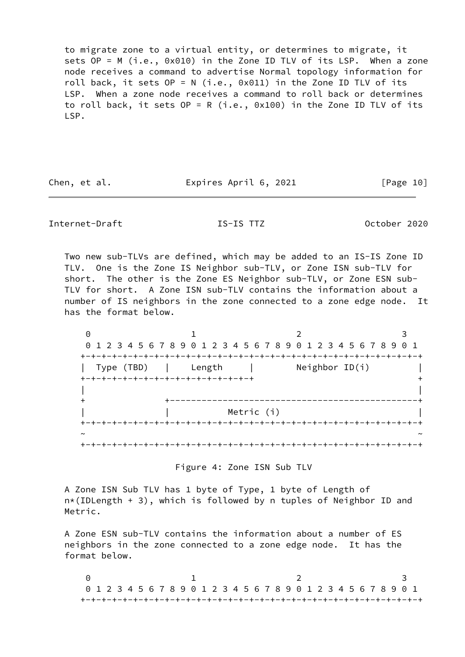to migrate zone to a virtual entity, or determines to migrate, it sets OP = M (i.e., 0x010) in the Zone ID TLV of its LSP. When a zone node receives a command to advertise Normal topology information for roll back, it sets OP = N (i.e., 0x011) in the Zone ID TLV of its LSP. When a zone node receives a command to roll back or determines to roll back, it sets OP = R (i.e., 0x100) in the Zone ID TLV of its LSP.

Chen, et al. **Expires April 6, 2021** [Page 10]

# <span id="page-11-0"></span>Internet-Draft IS-IS TTZ October 2020

 Two new sub-TLVs are defined, which may be added to an IS-IS Zone ID TLV. One is the Zone IS Neighbor sub-TLV, or Zone ISN sub-TLV for short. The other is the Zone ES Neighbor sub-TLV, or Zone ESN sub- TLV for short. A Zone ISN sub-TLV contains the information about a number of IS neighbors in the zone connected to a zone edge node. It has the format below.

0 1 2 3 0 1 2 3 4 5 6 7 8 9 0 1 2 3 4 5 6 7 8 9 0 1 2 3 4 5 6 7 8 9 0 1 +-+-+-+-+-+-+-+-+-+-+-+-+-+-+-+-+-+-+-+-+-+-+-+-+-+-+-+-+-+-+-+-+ | Type (TBD) | Length | Neighbor ID(i) | +-+-+-+-+-+-+-+-+-+-+-+-+-+-+-+-+ + | | + +-----------------------------------------------+ Metric (i) +-+-+-+-+-+-+-+-+-+-+-+-+-+-+-+-+-+-+-+-+-+-+-+-+-+-+-+-+-+-+-+-+ ~ ~ +-+-+-+-+-+-+-+-+-+-+-+-+-+-+-+-+-+-+-+-+-+-+-+-+-+-+-+-+-+-+-+-+

Figure 4: Zone ISN Sub TLV

 A Zone ISN Sub TLV has 1 byte of Type, 1 byte of Length of n\*(IDLength + 3), which is followed by n tuples of Neighbor ID and Metric.

 A Zone ESN sub-TLV contains the information about a number of ES neighbors in the zone connected to a zone edge node. It has the format below.

0 1 2 3 0 1 2 3 4 5 6 7 8 9 0 1 2 3 4 5 6 7 8 9 0 1 2 3 4 5 6 7 8 9 0 1 +-+-+-+-+-+-+-+-+-+-+-+-+-+-+-+-+-+-+-+-+-+-+-+-+-+-+-+-+-+-+-+-+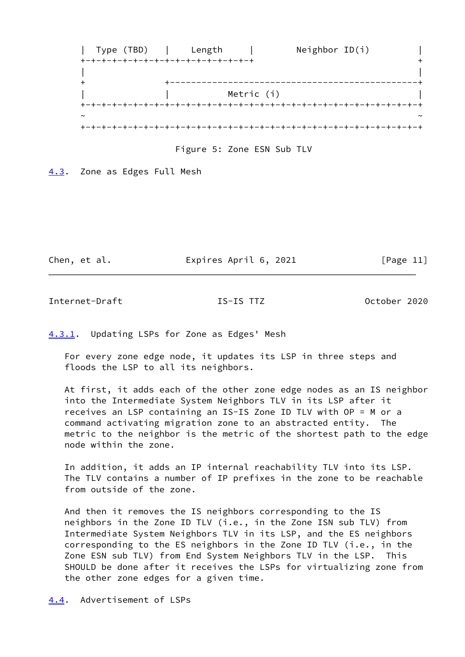

Figure 5: Zone ESN Sub TLV

<span id="page-12-0"></span>[4.3](#page-12-0). Zone as Edges Full Mesh

Chen, et al. **Expires April 6, 2021** [Page 11]

<span id="page-12-2"></span>Internet-Draft IS-IS TTZ October 2020

<span id="page-12-1"></span>[4.3.1](#page-12-1). Updating LSPs for Zone as Edges' Mesh

 For every zone edge node, it updates its LSP in three steps and floods the LSP to all its neighbors.

 At first, it adds each of the other zone edge nodes as an IS neighbor into the Intermediate System Neighbors TLV in its LSP after it receives an LSP containing an IS-IS Zone ID TLV with OP = M or a command activating migration zone to an abstracted entity. The metric to the neighbor is the metric of the shortest path to the edge node within the zone.

 In addition, it adds an IP internal reachability TLV into its LSP. The TLV contains a number of IP prefixes in the zone to be reachable from outside of the zone.

 And then it removes the IS neighbors corresponding to the IS neighbors in the Zone ID TLV (i.e., in the Zone ISN sub TLV) from Intermediate System Neighbors TLV in its LSP, and the ES neighbors corresponding to the ES neighbors in the Zone ID TLV (i.e., in the Zone ESN sub TLV) from End System Neighbors TLV in the LSP. This SHOULD be done after it receives the LSPs for virtualizing zone from the other zone edges for a given time.

<span id="page-12-3"></span>[4.4](#page-12-3). Advertisement of LSPs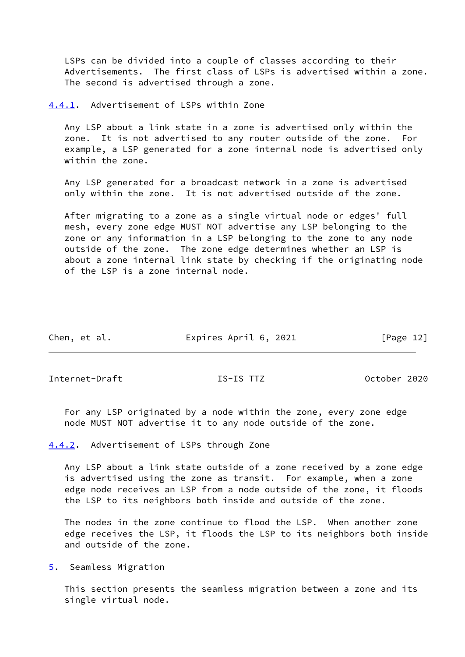LSPs can be divided into a couple of classes according to their Advertisements. The first class of LSPs is advertised within a zone. The second is advertised through a zone.

<span id="page-13-0"></span>[4.4.1](#page-13-0). Advertisement of LSPs within Zone

 Any LSP about a link state in a zone is advertised only within the zone. It is not advertised to any router outside of the zone. For example, a LSP generated for a zone internal node is advertised only within the zone.

 Any LSP generated for a broadcast network in a zone is advertised only within the zone. It is not advertised outside of the zone.

 After migrating to a zone as a single virtual node or edges' full mesh, every zone edge MUST NOT advertise any LSP belonging to the zone or any information in a LSP belonging to the zone to any node outside of the zone. The zone edge determines whether an LSP is about a zone internal link state by checking if the originating node of the LSP is a zone internal node.

| Chen, et al. | Expires April 6, 2021 | [Page 12] |
|--------------|-----------------------|-----------|
|              |                       |           |

<span id="page-13-2"></span>Internet-Draft IS-IS TTZ October 2020

 For any LSP originated by a node within the zone, every zone edge node MUST NOT advertise it to any node outside of the zone.

<span id="page-13-1"></span>[4.4.2](#page-13-1). Advertisement of LSPs through Zone

 Any LSP about a link state outside of a zone received by a zone edge is advertised using the zone as transit. For example, when a zone edge node receives an LSP from a node outside of the zone, it floods the LSP to its neighbors both inside and outside of the zone.

 The nodes in the zone continue to flood the LSP. When another zone edge receives the LSP, it floods the LSP to its neighbors both inside and outside of the zone.

<span id="page-13-3"></span>[5](#page-13-3). Seamless Migration

 This section presents the seamless migration between a zone and its single virtual node.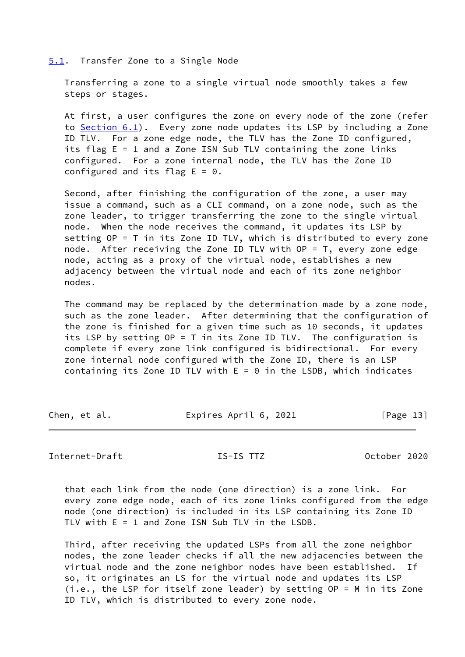### <span id="page-14-0"></span>[5.1](#page-14-0). Transfer Zone to a Single Node

 Transferring a zone to a single virtual node smoothly takes a few steps or stages.

 At first, a user configures the zone on every node of the zone (refer to [Section 6.1](#page-16-1)). Every zone node updates its LSP by including a Zone ID TLV. For a zone edge node, the TLV has the Zone ID configured, its flag E = 1 and a Zone ISN Sub TLV containing the zone links configured. For a zone internal node, the TLV has the Zone ID configured and its flag  $E = 0$ .

 Second, after finishing the configuration of the zone, a user may issue a command, such as a CLI command, on a zone node, such as the zone leader, to trigger transferring the zone to the single virtual node. When the node receives the command, it updates its LSP by setting OP = T in its Zone ID TLV, which is distributed to every zone node. After receiving the Zone ID TLV with OP = T, every zone edge node, acting as a proxy of the virtual node, establishes a new adjacency between the virtual node and each of its zone neighbor nodes.

 The command may be replaced by the determination made by a zone node, such as the zone leader. After determining that the configuration of the zone is finished for a given time such as 10 seconds, it updates its LSP by setting OP = T in its Zone ID TLV. The configuration is complete if every zone link configured is bidirectional. For every zone internal node configured with the Zone ID, there is an LSP containing its Zone ID TLV with  $E = 0$  in the LSDB, which indicates

Chen, et al. **Expires April 6, 2021** [Page 13]

<span id="page-14-1"></span>Internet-Draft IS-IS TTZ October 2020

 that each link from the node (one direction) is a zone link. For every zone edge node, each of its zone links configured from the edge node (one direction) is included in its LSP containing its Zone ID TLV with E = 1 and Zone ISN Sub TLV in the LSDB.

 Third, after receiving the updated LSPs from all the zone neighbor nodes, the zone leader checks if all the new adjacencies between the virtual node and the zone neighbor nodes have been established. If so, it originates an LS for the virtual node and updates its LSP (i.e., the LSP for itself zone leader) by setting OP = M in its Zone ID TLV, which is distributed to every zone node.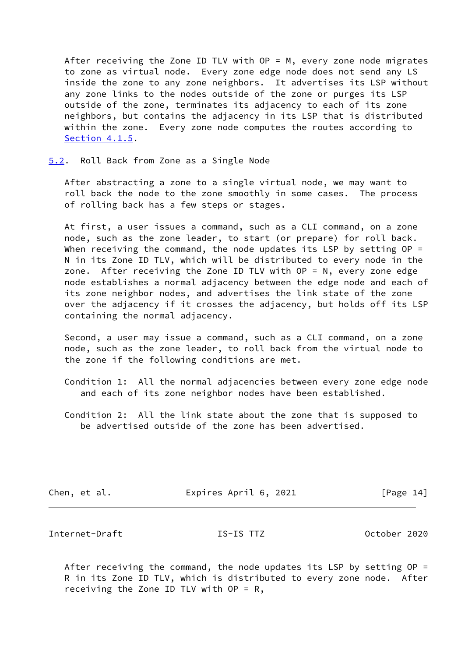After receiving the Zone ID TLV with  $OP = M$ , every zone node migrates to zone as virtual node. Every zone edge node does not send any LS inside the zone to any zone neighbors. It advertises its LSP without any zone links to the nodes outside of the zone or purges its LSP outside of the zone, terminates its adjacency to each of its zone neighbors, but contains the adjacency in its LSP that is distributed within the zone. Every zone node computes the routes according to [Section 4.1.5](#page-9-0).

## <span id="page-15-0"></span>[5.2](#page-15-0). Roll Back from Zone as a Single Node

 After abstracting a zone to a single virtual node, we may want to roll back the node to the zone smoothly in some cases. The process of rolling back has a few steps or stages.

 At first, a user issues a command, such as a CLI command, on a zone node, such as the zone leader, to start (or prepare) for roll back. When receiving the command, the node updates its LSP by setting  $OP =$  N in its Zone ID TLV, which will be distributed to every node in the zone. After receiving the Zone ID TLV with OP = N, every zone edge node establishes a normal adjacency between the edge node and each of its zone neighbor nodes, and advertises the link state of the zone over the adjacency if it crosses the adjacency, but holds off its LSP containing the normal adjacency.

 Second, a user may issue a command, such as a CLI command, on a zone node, such as the zone leader, to roll back from the virtual node to the zone if the following conditions are met.

 Condition 1: All the normal adjacencies between every zone edge node and each of its zone neighbor nodes have been established.

 Condition 2: All the link state about the zone that is supposed to be advertised outside of the zone has been advertised.

| Chen, et al. | Expires April 6, 2021 | [Page 14] |
|--------------|-----------------------|-----------|
|              |                       |           |

<span id="page-15-1"></span>Internet-Draft IS-IS TTZ October 2020

 After receiving the command, the node updates its LSP by setting OP = R in its Zone ID TLV, which is distributed to every zone node. After receiving the Zone ID TLV with  $OP = R$ ,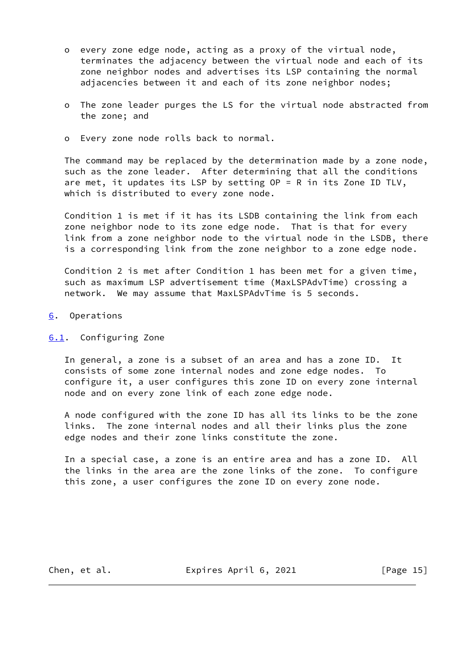- o every zone edge node, acting as a proxy of the virtual node, terminates the adjacency between the virtual node and each of its zone neighbor nodes and advertises its LSP containing the normal adjacencies between it and each of its zone neighbor nodes;
- o The zone leader purges the LS for the virtual node abstracted from the zone; and
- o Every zone node rolls back to normal.

 The command may be replaced by the determination made by a zone node, such as the zone leader. After determining that all the conditions are met, it updates its LSP by setting OP = R in its Zone ID TLV, which is distributed to every zone node.

 Condition 1 is met if it has its LSDB containing the link from each zone neighbor node to its zone edge node. That is that for every link from a zone neighbor node to the virtual node in the LSDB, there is a corresponding link from the zone neighbor to a zone edge node.

 Condition 2 is met after Condition 1 has been met for a given time, such as maximum LSP advertisement time (MaxLSPAdvTime) crossing a network. We may assume that MaxLSPAdvTime is 5 seconds.

- <span id="page-16-0"></span>[6](#page-16-0). Operations
- <span id="page-16-1"></span>[6.1](#page-16-1). Configuring Zone

 In general, a zone is a subset of an area and has a zone ID. It consists of some zone internal nodes and zone edge nodes. To configure it, a user configures this zone ID on every zone internal node and on every zone link of each zone edge node.

 A node configured with the zone ID has all its links to be the zone links. The zone internal nodes and all their links plus the zone edge nodes and their zone links constitute the zone.

 In a special case, a zone is an entire area and has a zone ID. All the links in the area are the zone links of the zone. To configure this zone, a user configures the zone ID on every zone node.

Chen, et al. **Expires April 6, 2021** [Page 15]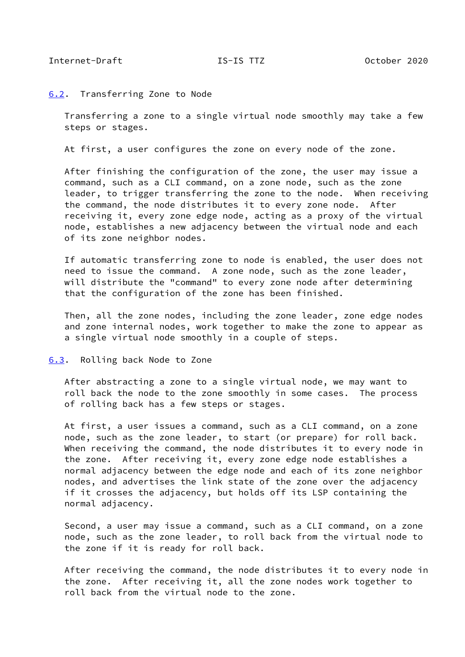### <span id="page-17-1"></span><span id="page-17-0"></span>[6.2](#page-17-0). Transferring Zone to Node

 Transferring a zone to a single virtual node smoothly may take a few steps or stages.

At first, a user configures the zone on every node of the zone.

 After finishing the configuration of the zone, the user may issue a command, such as a CLI command, on a zone node, such as the zone leader, to trigger transferring the zone to the node. When receiving the command, the node distributes it to every zone node. After receiving it, every zone edge node, acting as a proxy of the virtual node, establishes a new adjacency between the virtual node and each of its zone neighbor nodes.

 If automatic transferring zone to node is enabled, the user does not need to issue the command. A zone node, such as the zone leader, will distribute the "command" to every zone node after determining that the configuration of the zone has been finished.

 Then, all the zone nodes, including the zone leader, zone edge nodes and zone internal nodes, work together to make the zone to appear as a single virtual node smoothly in a couple of steps.

<span id="page-17-2"></span>[6.3](#page-17-2). Rolling back Node to Zone

 After abstracting a zone to a single virtual node, we may want to roll back the node to the zone smoothly in some cases. The process of rolling back has a few steps or stages.

 At first, a user issues a command, such as a CLI command, on a zone node, such as the zone leader, to start (or prepare) for roll back. When receiving the command, the node distributes it to every node in the zone. After receiving it, every zone edge node establishes a normal adjacency between the edge node and each of its zone neighbor nodes, and advertises the link state of the zone over the adjacency if it crosses the adjacency, but holds off its LSP containing the normal adjacency.

 Second, a user may issue a command, such as a CLI command, on a zone node, such as the zone leader, to roll back from the virtual node to the zone if it is ready for roll back.

 After receiving the command, the node distributes it to every node in the zone. After receiving it, all the zone nodes work together to roll back from the virtual node to the zone.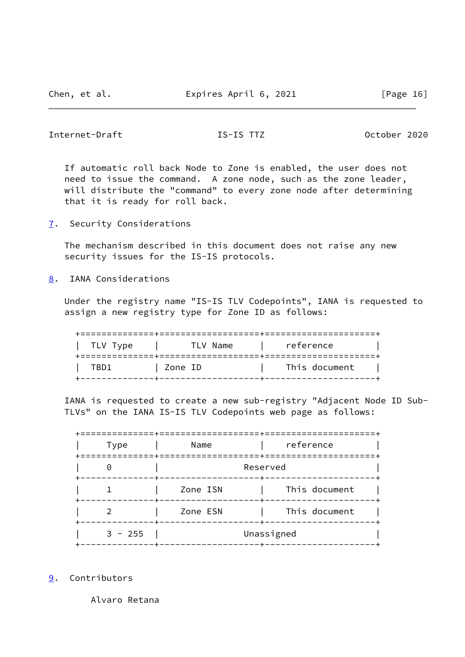# <span id="page-18-1"></span>Internet-Draft IS-IS TTZ October 2020

 If automatic roll back Node to Zone is enabled, the user does not need to issue the command. A zone node, such as the zone leader, will distribute the "command" to every zone node after determining that it is ready for roll back.

<span id="page-18-0"></span>[7](#page-18-0). Security Considerations

 The mechanism described in this document does not raise any new security issues for the IS-IS protocols.

<span id="page-18-2"></span>[8](#page-18-2). IANA Considerations

 Under the registry name "IS-IS TLV Codepoints", IANA is requested to assign a new registry type for Zone ID as follows:

| TLV Type | TLV Name | reference     |
|----------|----------|---------------|
| TBD1     | Zone ID  | This document |

 IANA is requested to create a new sub-registry "Adjacent Node ID Sub- TLVs" on the IANA IS-IS TLV Codepoints web page as follows:

| <b>Type</b> | Name     | reference     |  |  |  |  |  |
|-------------|----------|---------------|--|--|--|--|--|
| ∩           | Reserved |               |  |  |  |  |  |
|             | Zone ISN | This document |  |  |  |  |  |
|             | Zone ESN | This document |  |  |  |  |  |
| $3 - 255$   |          | Unassigned    |  |  |  |  |  |

<span id="page-18-3"></span>[9](#page-18-3). Contributors

Alvaro Retana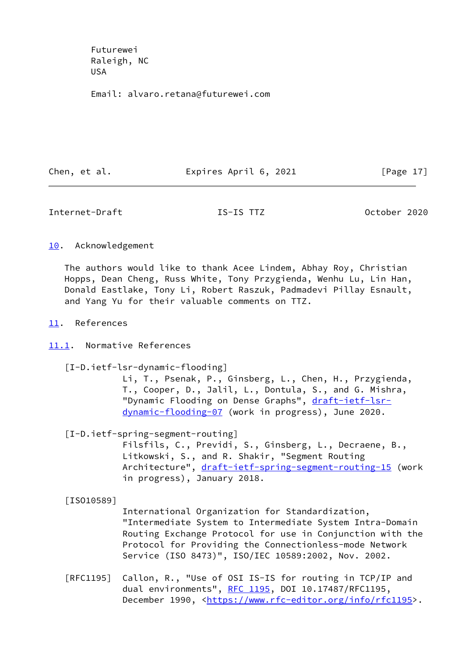Futurewei Raleigh, NC USA

Email: alvaro.retana@futurewei.com

Chen, et al. **Expires April 6, 2021** [Page 17]

<span id="page-19-1"></span>Internet-Draft IS-IS TTZ October 2020

<span id="page-19-0"></span>[10.](#page-19-0) Acknowledgement

 The authors would like to thank Acee Lindem, Abhay Roy, Christian Hopps, Dean Cheng, Russ White, Tony Przygienda, Wenhu Lu, Lin Han, Donald Eastlake, Tony Li, Robert Raszuk, Padmadevi Pillay Esnault, and Yang Yu for their valuable comments on TTZ.

- <span id="page-19-2"></span>[11.](#page-19-2) References
- <span id="page-19-3"></span>[11.1](#page-19-3). Normative References
	- [I-D.ietf-lsr-dynamic-flooding]

 Li, T., Psenak, P., Ginsberg, L., Chen, H., Przygienda, T., Cooper, D., Jalil, L., Dontula, S., and G. Mishra, "Dynamic Flooding on Dense Graphs", [draft-ietf-lsr](https://datatracker.ietf.org/doc/pdf/draft-ietf-lsr-dynamic-flooding-07) [dynamic-flooding-07](https://datatracker.ietf.org/doc/pdf/draft-ietf-lsr-dynamic-flooding-07) (work in progress), June 2020.

[I-D.ietf-spring-segment-routing]

 Filsfils, C., Previdi, S., Ginsberg, L., Decraene, B., Litkowski, S., and R. Shakir, "Segment Routing Architecture", [draft-ietf-spring-segment-routing-15](https://datatracker.ietf.org/doc/pdf/draft-ietf-spring-segment-routing-15) (work in progress), January 2018.

[ISO10589]

 International Organization for Standardization, "Intermediate System to Intermediate System Intra-Domain Routing Exchange Protocol for use in Conjunction with the Protocol for Providing the Connectionless-mode Network Service (ISO 8473)", ISO/IEC 10589:2002, Nov. 2002.

 [RFC1195] Callon, R., "Use of OSI IS-IS for routing in TCP/IP and dual environments", [RFC 1195,](https://datatracker.ietf.org/doc/pdf/rfc1195) DOI 10.17487/RFC1195, December 1990, <<https://www.rfc-editor.org/info/rfc1195>>.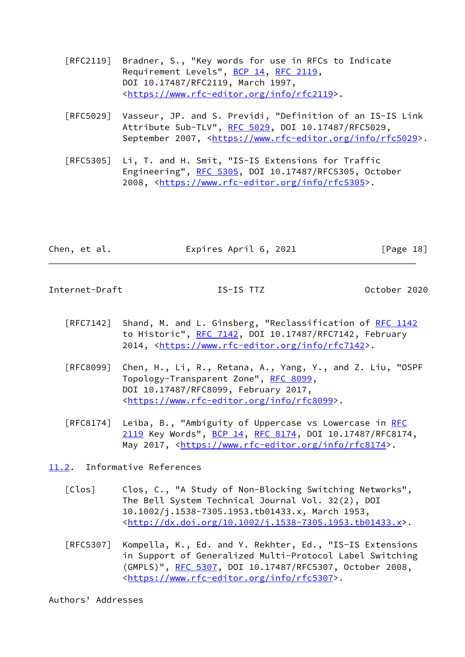- [RFC2119] Bradner, S., "Key words for use in RFCs to Indicate Requirement Levels", [BCP 14](https://datatracker.ietf.org/doc/pdf/bcp14), [RFC 2119](https://datatracker.ietf.org/doc/pdf/rfc2119), DOI 10.17487/RFC2119, March 1997, <[https://www.rfc-editor.org/info/rfc2119>](https://www.rfc-editor.org/info/rfc2119).
- [RFC5029] Vasseur, JP. and S. Previdi, "Definition of an IS-IS Link Attribute Sub-TLV", [RFC 5029,](https://datatracker.ietf.org/doc/pdf/rfc5029) DOI 10.17487/RFC5029, September 2007, <[https://www.rfc-editor.org/info/rfc5029>](https://www.rfc-editor.org/info/rfc5029).
- [RFC5305] Li, T. and H. Smit, "IS-IS Extensions for Traffic Engineering", [RFC 5305](https://datatracker.ietf.org/doc/pdf/rfc5305), DOI 10.17487/RFC5305, October 2008, [<https://www.rfc-editor.org/info/rfc5305](https://www.rfc-editor.org/info/rfc5305)>.

| Chen, et al. | Expires April 6, 2021 | [Page 18] |
|--------------|-----------------------|-----------|
|              |                       |           |

<span id="page-20-1"></span>Internet-Draft IS-IS TTZ October 2020

- [RFC7142] Shand, M. and L. Ginsberg, "Reclassification of [RFC 1142](https://datatracker.ietf.org/doc/pdf/rfc1142) to Historic", [RFC 7142](https://datatracker.ietf.org/doc/pdf/rfc7142), DOI 10.17487/RFC7142, February 2014, [<https://www.rfc-editor.org/info/rfc7142](https://www.rfc-editor.org/info/rfc7142)>.
- [RFC8099] Chen, H., Li, R., Retana, A., Yang, Y., and Z. Liu, "OSPF Topology-Transparent Zone", [RFC 8099,](https://datatracker.ietf.org/doc/pdf/rfc8099) DOI 10.17487/RFC8099, February 2017, <[https://www.rfc-editor.org/info/rfc8099>](https://www.rfc-editor.org/info/rfc8099).
- [RFC8174] Leiba, B., "Ambiguity of Uppercase vs Lowercase in [RFC](https://datatracker.ietf.org/doc/pdf/rfc2119) [2119](https://datatracker.ietf.org/doc/pdf/rfc2119) Key Words", [BCP 14](https://datatracker.ietf.org/doc/pdf/bcp14), [RFC 8174,](https://datatracker.ietf.org/doc/pdf/rfc8174) DOI 10.17487/RFC8174, May 2017, [<https://www.rfc-editor.org/info/rfc8174](https://www.rfc-editor.org/info/rfc8174)>.

<span id="page-20-0"></span>[11.2](#page-20-0). Informative References

- [Clos] Clos, C., "A Study of Non-Blocking Switching Networks", The Bell System Technical Journal Vol. 32(2), DOI 10.1002/j.1538-7305.1953.tb01433.x, March 1953, <[http://dx.doi.org/10.1002/j.1538-7305.1953.tb01433.x>](http://dx.doi.org/10.1002/j.1538-7305.1953.tb01433.x).
- [RFC5307] Kompella, K., Ed. and Y. Rekhter, Ed., "IS-IS Extensions in Support of Generalized Multi-Protocol Label Switching (GMPLS)", [RFC 5307](https://datatracker.ietf.org/doc/pdf/rfc5307), DOI 10.17487/RFC5307, October 2008, <[https://www.rfc-editor.org/info/rfc5307>](https://www.rfc-editor.org/info/rfc5307).

Authors' Addresses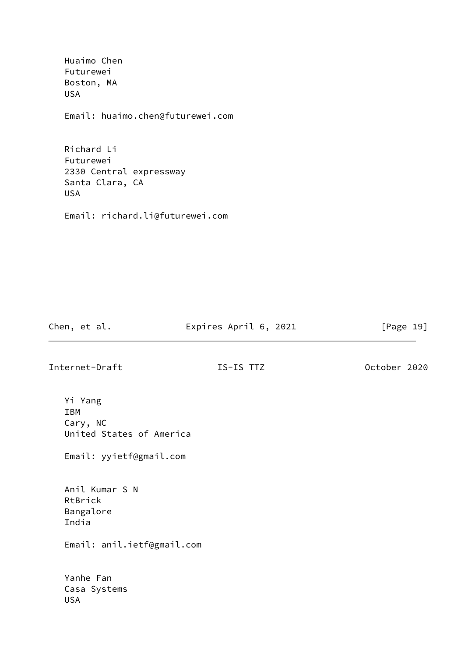Huaimo Chen Futurewei Boston, MA USA Email: huaimo.chen@futurewei.com Richard Li Futurewei

 2330 Central expressway Santa Clara, CA USA

Email: richard.li@futurewei.com

Chen, et al. **Expires April 6, 2021** [Page 19]

Internet-Draft IS-IS TTZ October 2020

 Yi Yang IBM Cary, NC United States of America

Email: yyietf@gmail.com

 Anil Kumar S N RtBrick Bangalore India Email: anil.ietf@gmail.com

 Yanhe Fan Casa Systems USA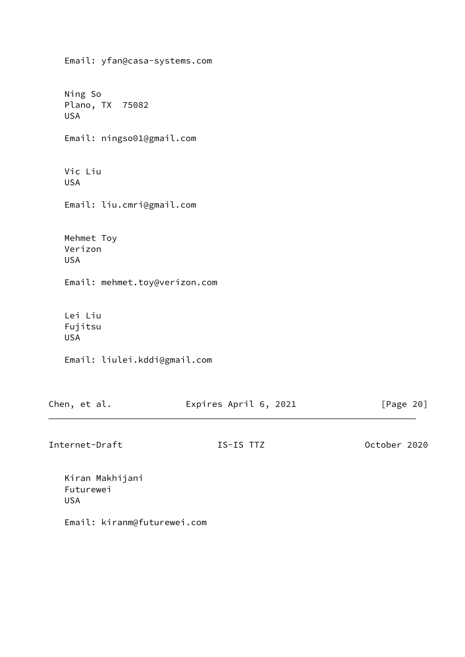Email: yfan@casa-systems.com Ning So Plano, TX 75082 USA Email: ningso01@gmail.com Vic Liu USA Email: liu.cmri@gmail.com Mehmet Toy Verizon USA Email: mehmet.toy@verizon.com Lei Liu Fujitsu USA Email: liulei.kddi@gmail.com

| Chen, et al. | Expires April 6, 2021 | [Page 20] |
|--------------|-----------------------|-----------|
|              |                       |           |

Internet-Draft IS-IS TTZ October 2020

 Kiran Makhijani Futurewei USA

Email: kiranm@futurewei.com